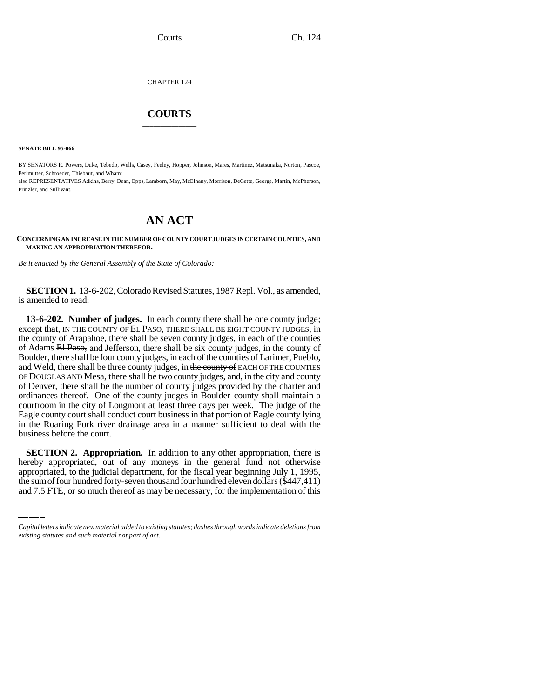CHAPTER 124

## \_\_\_\_\_\_\_\_\_\_\_\_\_\_\_ **COURTS** \_\_\_\_\_\_\_\_\_\_\_\_\_\_\_

**SENATE BILL 95-066**

BY SENATORS R. Powers, Duke, Tebedo, Wells, Casey, Feeley, Hopper, Johnson, Mares, Martinez, Matsunaka, Norton, Pascoe, Perlmutter, Schroeder, Thiebaut, and Wham;

also REPRESENTATIVES Adkins, Berry, Dean, Epps, Lamborn, May, McElhany, Morrison, DeGette, George, Martin, McPherson, Prinzler, and Sullivant.

## **AN ACT**

**CONCERNING AN INCREASE IN THE NUMBER OF COUNTY COURT JUDGES IN CERTAIN COUNTIES, AND MAKING AN APPROPRIATION THEREFOR.**

*Be it enacted by the General Assembly of the State of Colorado:*

**SECTION 1.** 13-6-202, Colorado Revised Statutes, 1987 Repl. Vol., as amended, is amended to read:

**13-6-202. Number of judges.** In each county there shall be one county judge; except that, IN THE COUNTY OF EL PASO, THERE SHALL BE EIGHT COUNTY JUDGES, in the county of Arapahoe, there shall be seven county judges, in each of the counties of Adams El Paso, and Jefferson, there shall be six county judges, in the county of Boulder, there shall be four county judges, in each of the counties of Larimer, Pueblo, and Weld, there shall be three county judges, in the county of EACH OF THE COUNTIES OF DOUGLAS AND Mesa, there shall be two county judges, and, in the city and county of Denver, there shall be the number of county judges provided by the charter and ordinances thereof. One of the county judges in Boulder county shall maintain a courtroom in the city of Longmont at least three days per week. The judge of the Eagle county court shall conduct court business in that portion of Eagle county lying in the Roaring Fork river drainage area in a manner sufficient to deal with the business before the court.

 **SECTION 2. Appropriation.** In addition to any other appropriation, there is hereby appropriated, out of any moneys in the general fund not otherwise appropriated, to the judicial department, for the fiscal year beginning July 1, 1995, the sum of four hundred forty-seven thousand four hundred eleven dollars (\$447,411) and 7.5 FTE, or so much thereof as may be necessary, for the implementation of this

*Capital letters indicate new material added to existing statutes; dashes through words indicate deletions from existing statutes and such material not part of act.*